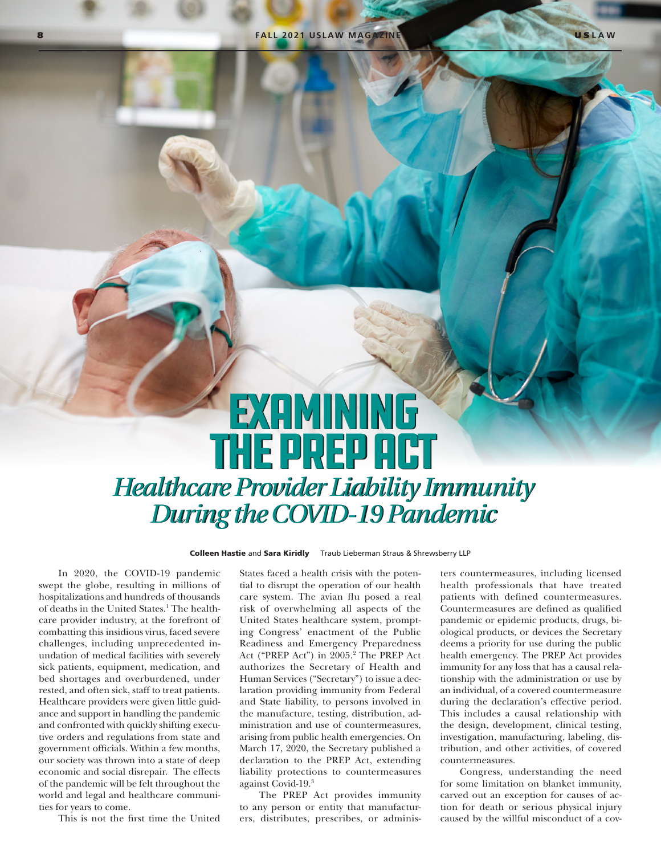## EXAMINING THE PREP ACT *Healthcare Provider Liability Immunity Healthcare Provider Liability Immunity During the COVID-19 Pandemic During the COVID-19 Pandemic*

Colleen Hastie and Sara Kiridly Traub Lieberman Straus & Shrewsberry LLP

In 2020, the COVID-19 pandemic swept the globe, resulting in millions of hospitalizations and hundreds of thousands of deaths in the United States.<sup>1</sup> The healthcare provider industry, at the forefront of combatting this insidious virus, faced severe challenges, including unprecedented inundation of medical facilities with severely sick patients, equipment, medication, and bed shortages and overburdened, under rested, and often sick, staff to treat patients. Healthcare providers were given little guidance and support in handling the pandemic and confronted with quickly shifting executive orders and regulations from state and government officials. Within a few months, our society was thrown into a state of deep economic and social disrepair. The effects of the pandemic will be felt throughout the world and legal and healthcare communities for years to come.

This is not the first time the United

States faced a health crisis with the potential to disrupt the operation of our health care system. The avian flu posed a real risk of overwhelming all aspects of the United States healthcare system, prompting Congress' enactment of the Public Readiness and Emergency Preparedness Act ("PREP Act") in 2005.2 The PREP Act authorizes the Secretary of Health and Human Services ("Secretary") to issue a declaration providing immunity from Federal and State liability, to persons involved in the manufacture, testing, distribution, administration and use of countermeasures, arising from public health emergencies. On March 17, 2020, the Secretary published a declaration to the PREP Act, extending liability protections to countermeasures against Covid-19.3

The PREP Act provides immunity to any person or entity that manufacturers, distributes, prescribes, or administers countermeasures, including licensed health professionals that have treated patients with defined countermeasures. Countermeasures are defined as qualified pandemic or epidemic products, drugs, biological products, or devices the Secretary deems a priority for use during the public health emergency. The PREP Act provides immunity for any loss that has a causal relationship with the administration or use by an individual, of a covered countermeasure during the declaration's effective period. This includes a causal relationship with the design, development, clinical testing, investigation, manufacturing, labeling, distribution, and other activities, of covered countermeasures.

Congress, understanding the need for some limitation on blanket immunity, carved out an exception for causes of action for death or serious physical injury caused by the willful misconduct of a cov-